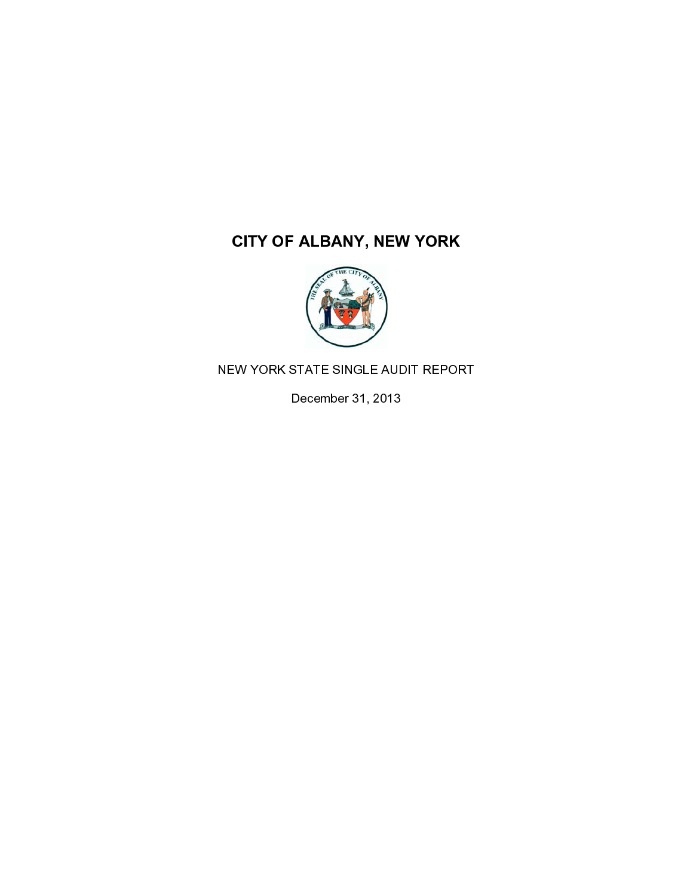

 $\frac{1}{1}$ 

December 31, 2013<br>
NEW YORK STATE SINGLE AUDIT REPORT SINGLE AUDIT REPORT SINGLE AUDIT REPORT OF SINGLE AUDIT REPORT OF SINGLE AUDIT REPORT OF SINGLE AUDIT REPORT OF SINGLE AUDIT REPORT OF SINGLE AUDIT REPORT OF SINGLE AUD December 31, 2013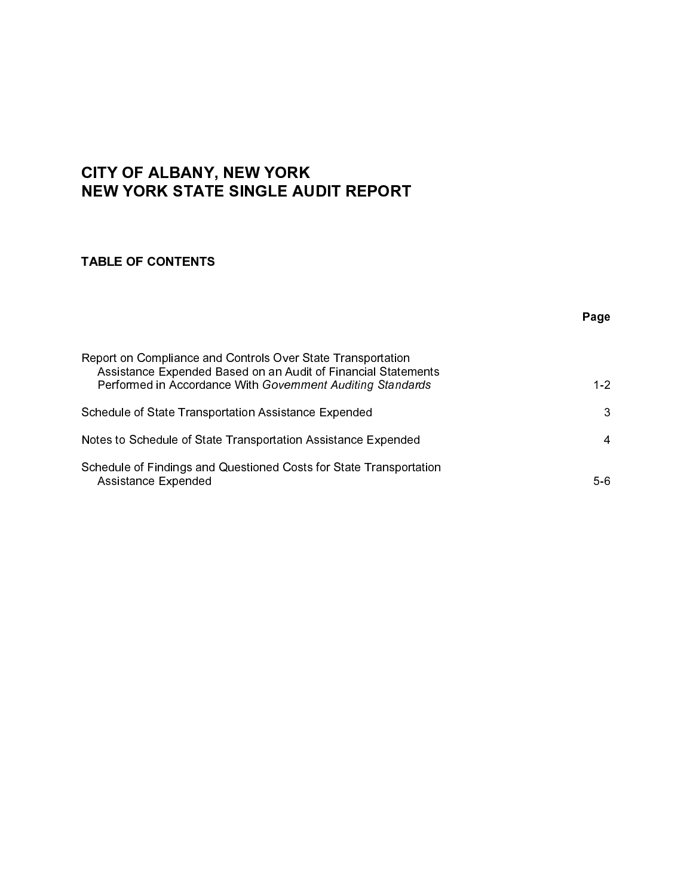## **CITY OF ALBANY, NEW YORK<br>NEW YORK STATE SINGLE AUDIT REPORT**

| <b>NEW YORK STATE SINGLE AUDIT REPORT</b>                                                                                                                                                  |              |  |
|--------------------------------------------------------------------------------------------------------------------------------------------------------------------------------------------|--------------|--|
| <b>TABLE OF CONTENTS</b>                                                                                                                                                                   |              |  |
|                                                                                                                                                                                            | Page         |  |
| Report on Compliance and Controls Over State Transportation<br>Assistance Expended Based on an Audit of Financial Statements<br>Performed in Accordance With Government Auditing Standards | $1-2$        |  |
| Schedule of State Transportation Assistance Expended                                                                                                                                       | $\mathbf{3}$ |  |
| Notes to Schedule of State Transportation Assistance Expended                                                                                                                              | 4            |  |
| Schedule of Findings and Questioned Costs for State Transportation<br><b>Assistance Expended</b>                                                                                           | $5-6$        |  |
|                                                                                                                                                                                            |              |  |
|                                                                                                                                                                                            |              |  |
|                                                                                                                                                                                            |              |  |
|                                                                                                                                                                                            |              |  |
|                                                                                                                                                                                            |              |  |
|                                                                                                                                                                                            |              |  |
|                                                                                                                                                                                            |              |  |
|                                                                                                                                                                                            |              |  |
|                                                                                                                                                                                            |              |  |
|                                                                                                                                                                                            |              |  |
|                                                                                                                                                                                            |              |  |
|                                                                                                                                                                                            |              |  |
|                                                                                                                                                                                            |              |  |
|                                                                                                                                                                                            |              |  |
|                                                                                                                                                                                            |              |  |
|                                                                                                                                                                                            |              |  |
|                                                                                                                                                                                            |              |  |
|                                                                                                                                                                                            |              |  |
|                                                                                                                                                                                            |              |  |
|                                                                                                                                                                                            |              |  |
|                                                                                                                                                                                            |              |  |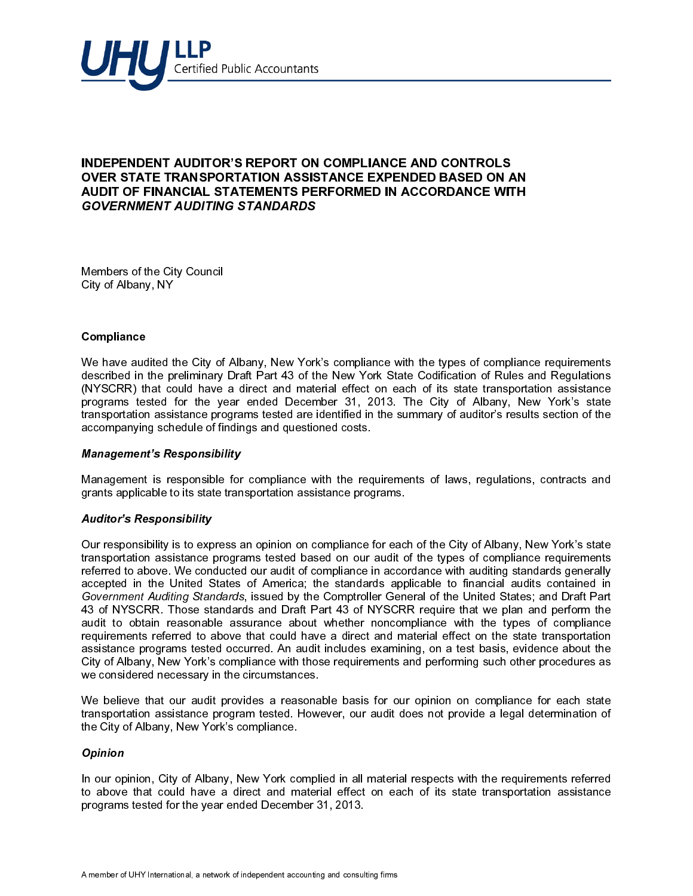

j

Members of the City Council City of Albany, NY

## **Compliance**

We have audited the City of Albany, New York's compliance with the types of compliance requirements described in the preliminary Draft Part 43 of the New York State Codification of Rules and Regulations (NYSCRR) that could have a direct and material effect on each of its state transportation assistance programs tested for the year ended December 31, 2013. The City of Albany, New York's state transportation assistance programs tested are identified in the summary of auditor's results section of the accompanying schedule of findings and questioned costs.

## Management's Responsibility

Management is responsible for compliance with the requirements of laws, regulations, contracts and grants applicable to its state transportation assistance programs.

## Auditor's Responsibility

**OVER STATE TRANSPORTATION ASSISTANCE EXPENDED BASED ON A<br>AUDIT OF FINANCIAL STATEMENTS PERFORMED IN ACCORDANCE WIT<br>AUDIT OF FINANCIAL STATEMENTS PERFORMED IN ACCORDANCE WIT<br>Compliance<br>Members of the Cty of Albany, New Yor AUDIT OF FINANCIAL STATEMENTS PERFORMED IN ACCORDANCE WITH COVERNMENT AUDITING STANDARDS**<br>
SCAPENIMENT AUDITING STANDARDS<br>
ON the more author (bit) of Albany, New York's complanes with the lypes of complance<br>
OR of Albany **GOVERNMENT AUDITING STANDARDS**<br>
Nembers of the City Council<br>
City of Albany, WY<br>
We have audited the City of Albany, New York's compliance with the types of compliance<br>
New York Right are collimned from the auternal of Br **Example 18** City Council<br>
City of Albany, NY<br>
Compliance<br>
We have audited the City of Albany, New York<br>
described in the preliminary Draft Part 43 of the<br>
(NYSCRR) that could have a direct and mate<br>
programs tested for th Our responsibility is to express an opinion on compliance for each of the City of Albany, New York's state transportation assistance programs tested based on our audit of the types of compliance requirements referred to above. We conducted our audit of compliance in accordance with auditing standards generally accepted in the United States of America; the standards applicable to financial audits contained in Government Auditing Standards, issued by the Comptroller General of the United States; and Draft Part 43 of NYSCRR. Those standards and Draft Part 43 of NYSCRR require that we plan and perform the audit to obtain reasonable assurance about whether noncompliance with the types of compliance requirements referred to above that could have a direct and material effect on the state transportation assistance programs tested occurred. An audit includes examining, on a test basis, evidence about the City of Albany, New York's compliance with those requirements and performing such other procedures as we considered necessary in the circumstances.

We believe that our audit provides a reasonable basis for our opinion on compliance for each state transportation assistance program tested. However, our audit does not provide a legal determination of the City of Albany, New York's compliance.

## **Opinion**

In our opinion, City of Albany, New York complied in all material respects with the requirements referred to above that could have a direct and material effect on each of its state transportation assistance programs tested for the year ended December 31, 2013.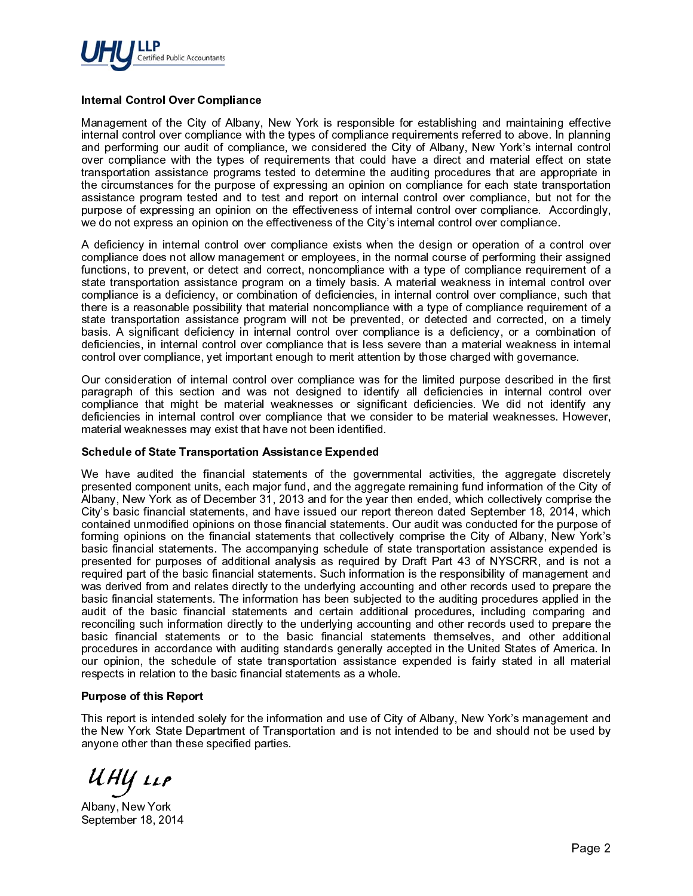

Management of the City of Albany, New York is responsible for establishing and maintaining effective internal control over compliance with the types of compliance requirements referred to above. In planning and performing our audit of compliance, we considered the City of Albany, New York's internal control over compliance with the types of requirements that could have a direct and material effect on state transportation assistance programs tested to determine the auditing procedures that are appropriate in the circumstances for the purpose of expressing an opinion on compliance for each state transportation assistance program tested and to test and report on internal control over compliance, but not for the purpose of expressing an opinion on the effectiveness of internal control over compliance. Accordingly, we do not express an opinion on the effectiveness of the City's internal control over compliance.

A deficiency in internal control over compliance exists when the design or operation of a control over compliance does not allow management or employees, in the normal course of performing their assigned functions, to prevent, or detect and correct, noncompliance with a type of compliance requirement of a state transportation assistance program on a timely basis. A material weakness in internal control over compliance is a deficiency, or combination of deficiencies, in internal control over compliance, such that there is a reasonable possibility that material noncompliance with a type of compliance requirement of a state transportation assistance program will not be prevented, or detected and corrected, on a timely basis. A significant deficiency in internal control over compliance is a deficiency, or a combination of deficiencies, in internal control over compliance that is less severe than a material weakness in internal control over compliance, yet important enough to merit attention by those charged with governance.

Our consideration of internal control over compliance was for the limited purpose described in the first paragraph of this section and was not designed to identify all deficiencies in internal control over compliance that might be material weaknesses or significant deficiencies. We did not identify any deficiencies in internal control over compliance that we consider to be material weaknesses. However, material weaknesses may exist that have not been identified.

Internal Control Over Compliance<br>
Management of the City of Albany,<br>
internal control over compliance with<br>
internal control over compliance<br>
and performing our addit of compliat<br>
and performing our addit of compliat<br>
tran We have audited the financial statements of the gover<br>presented component units, each major fund, and the aggre<br>cling's basic financial statements, and have issued our report<br>cling's basic financial statements, and have i We have audited the financial statements of the governmental activities, the aggregate discretely presented component units, each major fund, and the aggregate remaining fund information of the City of Albany, New York as of December 31, 2013 and for the year then ended, which collectively comprise the City's basic financial statements, and have issued our report thereon dated September 18, 2014, which contained unmodified opinions on those financial statements. Our audit was conducted for the purpose of forming opinions on the financial statements that collectively comprise the City of Albany, New York's basic financial statements. The accompanying schedule of state transportation assistance expended is presented for purposes of additional analysis as required by Draft Part 43 of NYSCRR, and is not a required part of the basic financial statements. Such information is the responsibility of management and was derived from and relates directly to the underlying accounting and other records used to prepare the basic financial statements. The information has been subjected to the auditing procedures applied in the audit of the basic financial statements and certain additional procedures, including comparing and reconciling such information directly to the underlying accounting and other records used to prepare the basic financial statements or to the basic financial statements themselves, and other additional procedures in accordance with auditing standards generally accepted in the United States of America. In our opinion, the schedule of state transportation assistance expended is fairly stated in all material respects in relation to the basic financial statements as a whole.

This report is intended so<br>the New York State Dep<br>anyone other than these<br><br><br><br>Albany, New York<br>September 18, 2014 This report is intended solely for the information and use of City of Albany, New York's management and the New York State Department of Transportation and is not intended to be and should not be used by anyone other than these specified parties.

UHY LLP<br>Albany, New York

September 18, 2014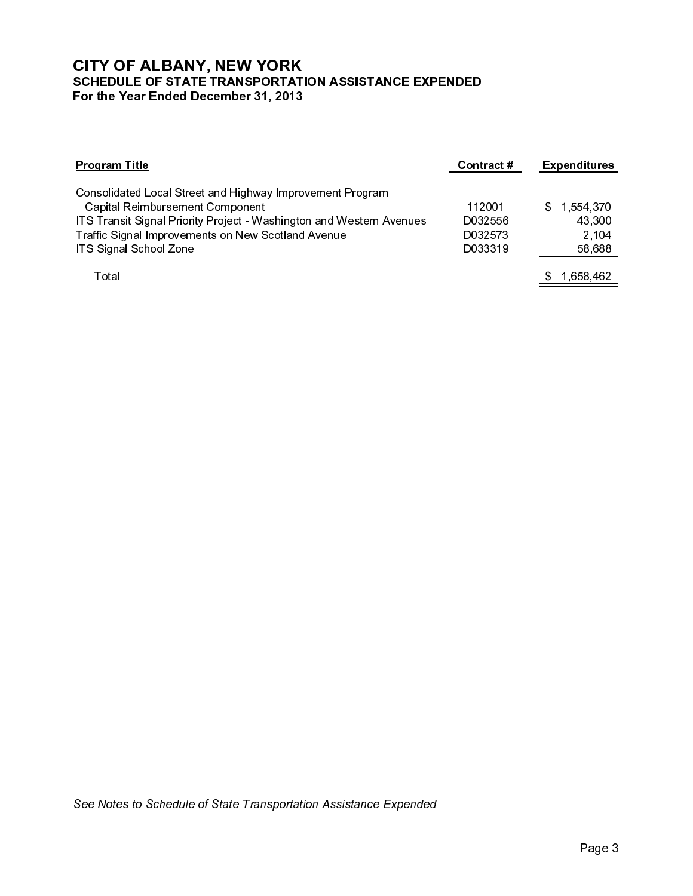| <b>Program Title</b>                                                                                                                                                                                                                                        | Contract #                              | <b>Expenditures</b>                          |
|-------------------------------------------------------------------------------------------------------------------------------------------------------------------------------------------------------------------------------------------------------------|-----------------------------------------|----------------------------------------------|
| Consolidated Local Street and Highway Improvement Program<br><b>Capital Reimbursement Component</b><br>ITS Transit Signal Priority Project - Washington and Western Avenues<br>Traffic Signal Improvements on New Scotland Avenue<br>ITS Signal School Zone | 112001<br>D032556<br>D032573<br>D033319 | \$<br>1,554,370<br>43,300<br>2,104<br>58,688 |
| Total                                                                                                                                                                                                                                                       |                                         | 1,658,462<br>\$                              |
|                                                                                                                                                                                                                                                             |                                         |                                              |
| See Notes to Schedule of State Transportation Assistance Expended                                                                                                                                                                                           |                                         |                                              |
|                                                                                                                                                                                                                                                             |                                         | Page 3                                       |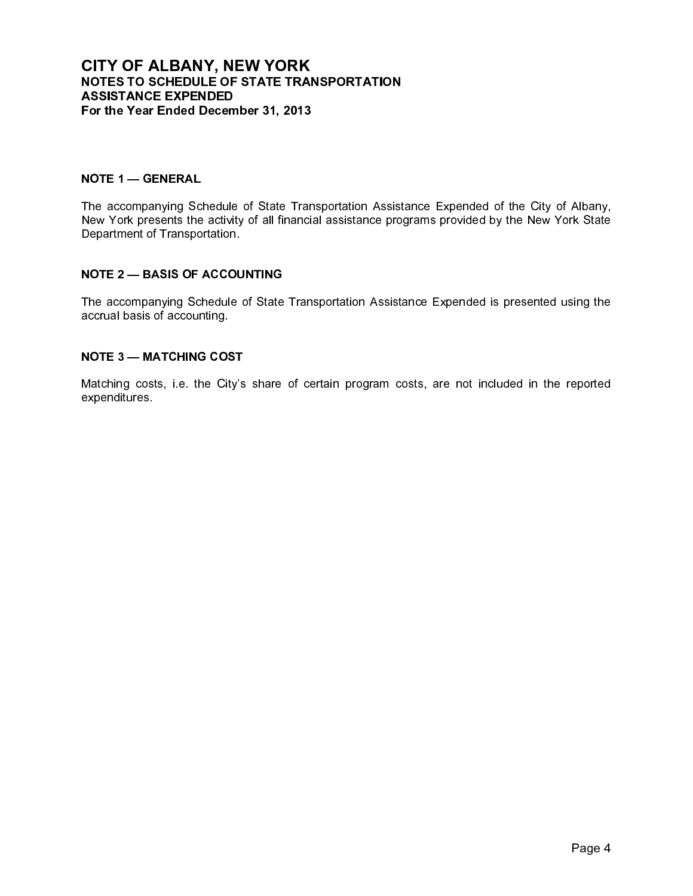# NOTES TO SCHEDULE OF STATE TRAI<br>ASSISTANCE EXPENDED<br>ASSISTANCE EXPENDED<br>For the Year Ended December 31, 2013<br>NOTE 1 — GENERAL<br>The accompanying Schedule of State Tran<br>Department of Transportation.<br>NOTE 2 — BASIS OF ACCOUNTI

ASSISTANCE EXPENDED<br>For the Year Ended December 31, 2013<br>NOTE 1 — GENERAL<br>New York presents the activity of all financial assistance prop<br>New York presents the activity of all financial assistance prop<br>Department of Transp For the Year Ended Decem<br>
NOTE 1 — GENERAL<br>
The accompanying Schedule<br>
New York presents the activity<br>
Department of Transportation<br>
NOTE 2 — BASIS OF ACCO<br>
The accompanying Schedule<br>
accrual basis of accounting<br>
NOTE 3 — NOTE 1 — GENERAL<br>The accompanying Schedule of State Transport<br>New York presents the activity of all financial<br>Department of Transportation.<br>NOTE 2 — BASIS OF ACCOUNTING<br>accrual basis of accounting.<br>NOTE 3 — MATCHING COST<br>M NOTE 1 — GENERAL<br>The accompanying Scl<br>New York presents the<br>Department of Transpo<br>NOTE 2 — BASIS OF ,<br>The accompanying Scl<br>accrual basis of accoun<br>NOTE 3 — MATCHING<br>Matching costs, i.e. th<br>expenditures. The accompanying Schedule of State Transportation Assistance Expended of the City of Albany, New York presents the activity of all financial assistance programs provided by the New York State Department of Transportation.

NOTE 2 — BASIS OF ACCOUNTING<br>The accompanying Schedule of State<br>accrual basis of accounting.<br>NOTE 3 — MATCHING COST<br>Matching costs, i.e. the City's share<br>expenditures. The accompanying Schedule of State Transportation Assistance Expended is presented using the accrual basis of accounting.

NOTE 3 — MATCHING COST<br>Matching costs, i.e. the City's<br>expenditures. Matching costs, i.e. the City's share of certain program costs, are not included in the reported expenditures.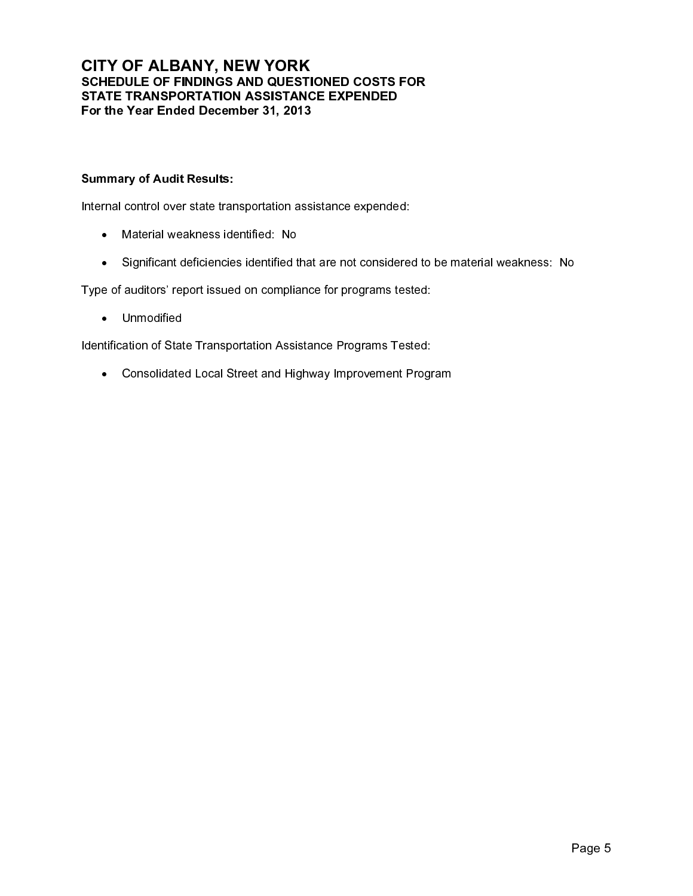## SCHEDULE OF FINDINGS AND QUESTI<br>STATE TRANSPORTATION ASSISTANC<br>STATE TRANSPORTATION ASSISTANC<br>For the Year Ended December 31, 2013<br>Summary of Audit Results:<br>Internal control over state transportation assements<br>in a Materia STATE TRANSPORTATION ASSISTANCE EXPENDED<br>For the Year Ended December 31, 2013<br>Summary of Audit Results:<br>Natarial voakness identified: No<br>Altarial weakness identified: No<br>- Significant deficiencies identified that are not c For the Year Ended December 31, 2013<br>
Summary of Audit Results:<br>
Intenal control over state transportation assistance expende<br>
• Material weakness identified: No<br>
• Significant deficiencies identified that are not conside<br>

Internal control over state transportation assistance expended:

- Material weakness identified: No
- Significant deficiencies identified that are not considered to be material weakness: No

Summary of Audit Results:<br>
Internal control over state transportation ass<br>
• Material weakness identified: No<br>
• Significant deficiencies identified that<br>
Type of auditors' report issued on complianc<br>
• Unmodified<br>
Identif Summary of Audit Results:<br>
Internal control over state tran<br>
• Material weakness ide<br>
• Significant deficiencie<br>
Type of auditors' report issued<br>
• Unmodified<br>
Identification of State Transpo<br>
• Consolidated Local St Type of auditors' report issued on compliance for programs tested:

• Unmodified

Identification of State Transportation Assistance Programs Tested:

• Consolidated Local Street and Highway Improvement Program